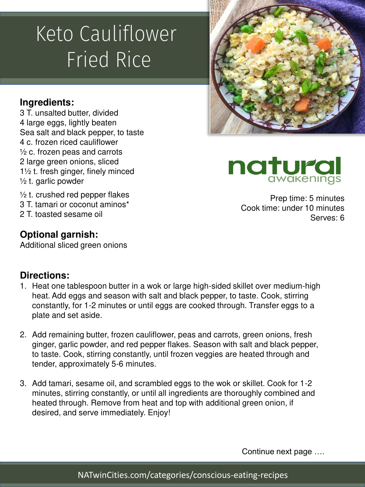# Keto Cauliflower Fried Rice

# **Ingredients:**

3 T. unsalted butter, divided 4 large eggs, lightly beaten Sea salt and black pepper, to taste 4 c. frozen riced cauliflower ½ c. frozen peas and carrots 2 large green onions, sliced 1½ t. fresh ginger, finely minced  $\frac{1}{2}$  t. garlic powder

 $\frac{1}{2}$  t. crushed red pepper flakes 3 T. tamari or coconut aminos\* 2 T. toasted sesame oil

## **Optional garnish:**

Additional sliced green onions

#### **Directions:**

- 1. Heat one tablespoon butter in a wok or large high-sided skillet over medium-high heat. Add eggs and season with salt and black pepper, to taste. Cook, stirring constantly, for 1-2 minutes or until eggs are cooked through. Transfer eggs to a plate and set aside.
- 2. Add remaining butter, frozen cauliflower, peas and carrots, green onions, fresh ginger, garlic powder, and red pepper flakes. Season with salt and black pepper, to taste. Cook, stirring constantly, until frozen veggies are heated through and tender, approximately 5-6 minutes.
- 3. Add tamari, sesame oil, and scrambled eggs to the wok or skillet. Cook for 1-2 minutes, stirring constantly, or until all ingredients are thoroughly combined and heated through. Remove from heat and top with additional green onion, if desired, and serve immediately. Enjoy!







Prep time: 5 minutes Cook time: under 10 minutes Serves: 6